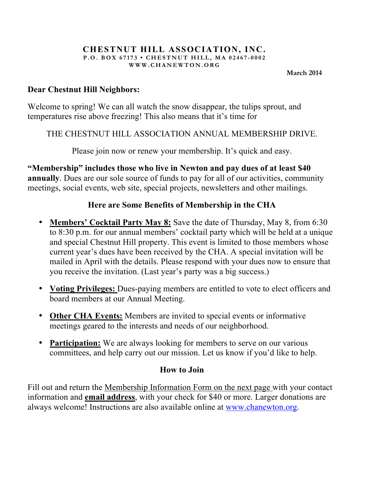#### **CHESTNUT HILL ASSOCIATION, INC. P.O. BOX 67173 • CHESTNUT HILL, MA 02467 - 0002 WWW.CHANEWTON.ORG**

**March 2014**

### **Dear Chestnut Hill Neighbors:**

Welcome to spring! We can all watch the snow disappear, the tulips sprout, and temperatures rise above freezing! This also means that it's time for

### THE CHESTNUT HILL ASSOCIATION ANNUAL MEMBERSHIP DRIVE.

Please join now or renew your membership. It's quick and easy.

**"Membership" includes those who live in Newton and pay dues of at least \$40 annually**. Dues are our sole source of funds to pay for all of our activities, community meetings, social events, web site, special projects, newsletters and other mailings.

## **Here are Some Benefits of Membership in the CHA**

- **Members' Cocktail Party May 8:** Save the date of Thursday, May 8, from 6:30 to 8:30 p.m. for our annual members' cocktail party which will be held at a unique and special Chestnut Hill property. This event is limited to those members whose current year's dues have been received by the CHA. A special invitation will be mailed in April with the details. Please respond with your dues now to ensure that you receive the invitation. (Last year's party was a big success.)
- **Voting Privileges:** Dues-paying members are entitled to vote to elect officers and board members at our Annual Meeting.
- **Other CHA Events:** Members are invited to special events or informative meetings geared to the interests and needs of our neighborhood.
- **Participation:** We are always looking for members to serve on our various committees, and help carry out our mission. Let us know if you'd like to help.

## **How to Join**

Fill out and return the Membership Information Form on the next page with your contact information and **email address**, with your check for \$40 or more. Larger donations are always welcome! Instructions are also available online at www.chanewton.org.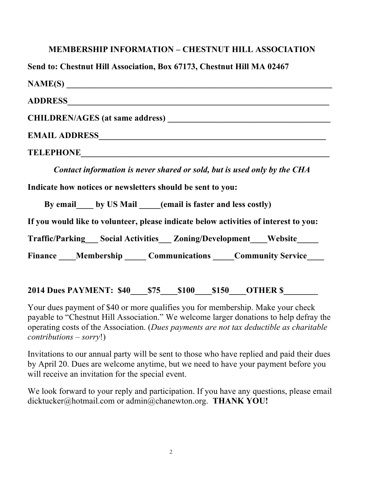## **MEMBERSHIP INFORMATION – CHESTNUT HILL ASSOCIATION**

**Send to: Chestnut Hill Association, Box 67173, Chestnut Hill MA 02467**

| TELEPHONE CONSUMING THE CONSUMING THE CONSUMING THE CONSUMING THE CONSUMING THE CONSUMING THE CONSUMING THE CONSUMING THE CONSUMING THE CONSUMING THE CONSUMING THE CONSUMING THE CONSUMING THE CONSUMING THE CONSUMING THE CO |
|--------------------------------------------------------------------------------------------------------------------------------------------------------------------------------------------------------------------------------|
| Contact information is never shared or sold, but is used only by the CHA                                                                                                                                                       |
| Indicate how notices or newsletters should be sent to you:                                                                                                                                                                     |
| By email by US Mail (email is faster and less costly)                                                                                                                                                                          |
| If you would like to volunteer, please indicate below activities of interest to you:                                                                                                                                           |
| Traffic/Parking Social Activities Zoning/Development Website                                                                                                                                                                   |

Finance Membership Communications Community Service

## **2014 Dues PAYMENT: \$40 \$75 \$100 \$150 OTHER \$**

Your dues payment of \$40 or more qualifies you for membership. Make your check payable to "Chestnut Hill Association." We welcome larger donations to help defray the operating costs of the Association. (*Dues payments are not tax deductible as charitable contributions – sorry*!)

Invitations to our annual party will be sent to those who have replied and paid their dues by April 20. Dues are welcome anytime, but we need to have your payment before you will receive an invitation for the special event.

We look forward to your reply and participation. If you have any questions, please email dicktucker@hotmail.com or admin@chanewton.org. **THANK YOU!**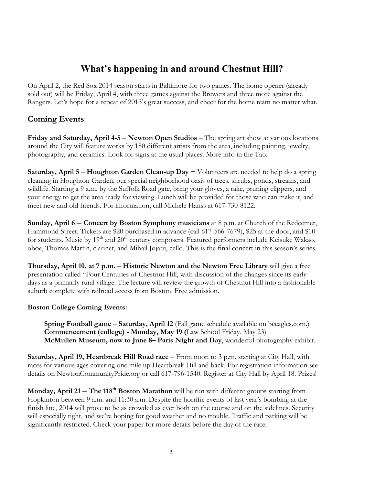# **What's happening in and around Chestnut Hill?**

On April 2, the Red Sox 2014 season starts in Baltimore for two games. The home opener (already sold out) will be Friday, April 4, with three games against the Brewers and three more against the Rangers. Let's hope for a repeat of 2013's great success, and cheer for the home team no matter what.

### **Coming Events**

**Friday and Saturday, April 4-5 – Newton Open Studios –** The spring art show at various locations around the City will feature works by 180 different artists from the area, including painting, jewelry, photography, and ceramics. Look for signs at the usual places. More info in the Tab.

**Saturday, April 5 – Houghton Garden Clean-up Day –** Volunteers are needed to help do a spring cleaning in Houghton Garden, our special neighborhood oasis of trees, shrubs, ponds, streams, and wildlife. Starting a 9 a.m. by the Suffolk Road gate, bring your gloves, a rake, pruning clippers, and your energy to get the area ready for viewing. Lunch will be provided for those who can make it, and meet new and old friends. For information, call Michele Hanss at 617-730-8122.

**Sunday, April 6** – **Concert by Boston Symphony musicians** at 8 p.m. at Church of the Redeemer, Hammond Street. Tickets are \$20 purchased in advance (call 617-566-7679), \$25 at the door, and \$10 for students. Music by 19<sup>th</sup> and 20<sup>th</sup> century composers. Featured performers include Keisuke Wakao, oboe, Thomas Martin, clarinet, and Mihail Jojatu, cello. This is the final concert in this season's series.

**Thursday, April 10, at 7 p.m. – Historic Newton and the Newton Free Library** will give a free presentation called "Four Centuries of Chestnut Hill, with discussion of the changes since its early days as a primarily rural village. The lecture will review the growth of Chestnut Hill into a fashionable suburb complete with railroad access from Boston. Free admission.

#### **Boston College Coming Events:**

**Spring Football game – Saturday, April 12** (Fall game schedule available on bceagles.com.) **Commencement (college) - Monday, May 19 (**Law School Friday, May 23) **McMullen Museum, now to June 8– Paris Night and Day**, wonderful photography exhibit.

**Saturday, April 19, Heartbreak Hill Road race –** From noon to 3 p.m. starting at City Hall, with races for various ages covering one mile up Heartbreak Hill and back. For registration information see details on NewtonCommunityPride.org or call 617-796-1540. Register at City Hall by April 18. Prizes!

**Monday, April 21** – **The 118th Boston Marathon** will be run with different groups starting from Hopkinton between 9 a.m. and 11:30 a.m. Despite the horrific events of last year's bombing at the finish line, 2014 will prove to be as crowded as ever both on the course and on the sidelines. Security will especially tight, and we're hoping for good weather and no trouble. Traffic and parking will be significantly restricted. Check your paper for more details before the day of the race.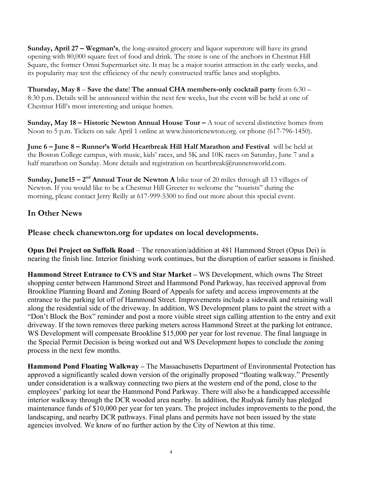**Sunday, April 27 – Wegman's**, the long-awaited grocery and liquor superstore will have its grand opening with 80,000 square feet of food and drink. The store is one of the anchors in Chestnut Hill Square, the former Omni Supermarket site. It may be a major tourist attraction in the early weeks, and its popularity may test the efficiency of the newly constructed traffic lanes and stoplights.

**Thursday, May 8** – **Save the date**! **The annual CHA members-only cocktail party** from 6:30 – 8:30 p.m. Details will be announced within the next few weeks, but the event will be held at one of Chestnut Hill's most interesting and unique homes.

**Sunday, May 18 – Historic Newton Annual House Tour –** A tour of several distinctive homes from Noon to 5 p.m. Tickets on sale April 1 online at www.historicnewton.org. or phone (617-796-1450).

**June 6 – June 8 – Runner's World Heartbreak Hill Half Marathon and Festival** will be held at the Boston College campus, with music, kids' races, and 5K and 10K races on Saturday, June 7 and a half marathon on Sunday. More details and registration on heartbreak@runnersworld.com.

**Sunday, June15 – 2<sup>nd</sup> Annual Tour de Newton A** bike tour of 20 miles through all 13 villages of Newton. If you would like to be a Chestnut Hill Greeter to welcome the "tourists" during the morning, please contact Jerry Reilly at 617-999-5300 to find out more about this special event.

### **In Other News**

**Please check chanewton.org for updates on local developments.**

**Opus Dei Project on Suffolk Road** – The renovation/addition at 481 Hammond Street (Opus Dei) is nearing the finish line. Interior finishing work continues, but the disruption of earlier seasons is finished.

**Hammond Street Entrance to CVS and Star Market –** WS Development, which owns The Street shopping center between Hammond Street and Hammond Pond Parkway, has received approval from Brookline Planning Board and Zoning Board of Appeals for safety and access improvements at the entrance to the parking lot off of Hammond Street. Improvements include a sidewalk and retaining wall along the residential side of the driveway. In addition, WS Development plans to paint the street with a "Don't Block the Box" reminder and post a more visible street sign calling attention to the entry and exit driveway. If the town removes three parking meters across Hammond Street at the parking lot entrance, WS Development will compensate Brookline \$15,000 per year for lost revenue. The final language in the Special Permit Decision is being worked out and WS Development hopes to conclude the zoning process in the next few months.

**Hammond Pond Floating Walkway –** The Massachusetts Department of Environmental Protection has approved a significantly scaled down version of the originally proposed "floating walkway." Presently under consideration is a walkway connecting two piers at the western end of the pond, close to the employees' parking lot near the Hammond Pond Parkway. There will also be a handicapped accessible interior walkway through the DCR wooded area nearby. In addition, the Rudyak family has pledged maintenance funds of \$10,000 per year for ten years. The project includes improvements to the pond, the landscaping, and nearby DCR pathways. Final plans and permits have not been issued by the state agencies involved. We know of no further action by the City of Newton at this time.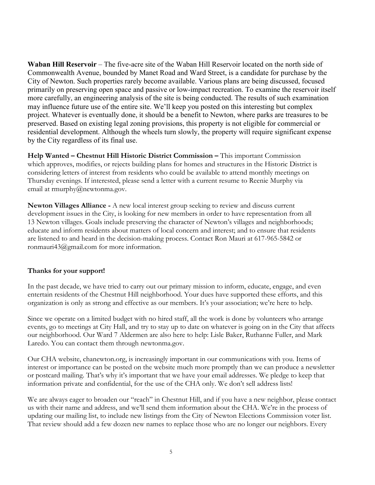**Waban Hill Reservoir** – The five-acre site of the Waban Hill Reservoir located on the north side of Commonwealth Avenue, bounded by Manet Road and Ward Street, is a candidate for purchase by the City of Newton. Such properties rarely become available. Various plans are being discussed, focused primarily on preserving open space and passive or low-impact recreation. To examine the reservoir itself more carefully, an engineering analysis of the site is being conducted. The results of such examination may influence future use of the entire site. We'll keep you posted on this interesting but complex project. Whatever is eventually done, it should be a benefit to Newton, where parks are treasures to be preserved. Based on existing legal zoning provisions, this property is not eligible for commercial or residential development. Although the wheels turn slowly, the property will require significant expense by the City regardless of its final use.

**Help Wanted – Chestnut Hill Historic District Commission –** This important Commission which approves, modifies, or rejects building plans for homes and structures in the Historic District is considering letters of interest from residents who could be available to attend monthly meetings on Thursday evenings. If interested, please send a letter with a current resume to Reenie Murphy via email at rmurphy@newtonma.gov.

**Newton Villages Alliance -** A new local interest group seeking to review and discuss current development issues in the City, is looking for new members in order to have representation from all 13 Newton villages. Goals include preserving the character of Newton's villages and neighborhoods; educate and inform residents about matters of local concern and interest; and to ensure that residents are listened to and heard in the decision-making process. Contact Ron Mauri at 617-965-5842 or ronmauri43@gmail.com for more information.

#### **Thanks for your support!**

In the past decade, we have tried to carry out our primary mission to inform, educate, engage, and even entertain residents of the Chestnut Hill neighborhood. Your dues have supported these efforts, and this organization is only as strong and effective as our members. It's your association; we're here to help.

Since we operate on a limited budget with no hired staff, all the work is done by volunteers who arrange events, go to meetings at City Hall, and try to stay up to date on whatever is going on in the City that affects our neighborhood. Our Ward 7 Aldermen are also here to help: Lisle Baker, Ruthanne Fuller, and Mark Laredo. You can contact them through newtonma.gov.

Our CHA website, chanewton.org, is increasingly important in our communications with you. Items of interest or importance can be posted on the website much more promptly than we can produce a newsletter or postcard mailing. That's why it's important that we have your email addresses. We pledge to keep that information private and confidential, for the use of the CHA only. We don't sell address lists!

We are always eager to broaden our "reach" in Chestnut Hill, and if you have a new neighbor, please contact us with their name and address, and we'll send them information about the CHA. We're in the process of updating our mailing list, to include new listings from the City of Newton Elections Commission voter list. That review should add a few dozen new names to replace those who are no longer our neighbors. Every